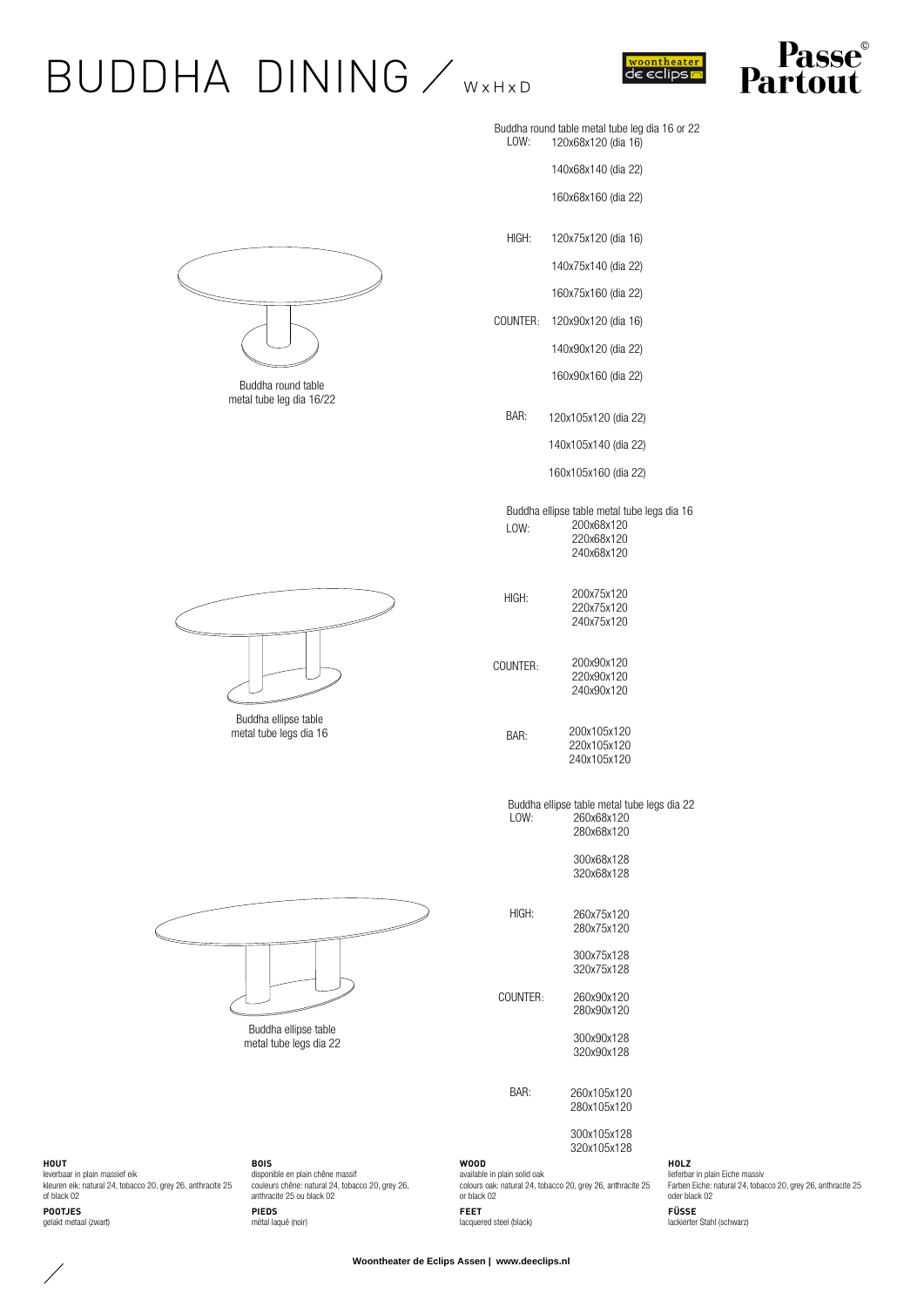## $BUDDHA$   $DINING$   $\swarrow$  WXHXD



ASSE

|      | Buddha round table metal tube leg dia 16 or 22 |  |  |  |
|------|------------------------------------------------|--|--|--|
| LOW: | 120x68x120 (dia 16)                            |  |  |  |

140x68x140 (dia 22)

160x68x160 (dia 22)

120x75x120 (dia 16) HIGH:

140x75x140 (dia 22)

160x75x160 (dia 22)

120x90x120 (dia 16) COUNTER:

140x90x120 (dia 22)

160x90x160 (dia 22)

120x105x120 (dia 22)

140x105x140 (dia 22)

160x105x160 (dia 22)

Buddha ellipse table metal tube legs dia 16 200x68x120 220x68x120 LOW:

240x68x120

| HIGH: | 200x75x120<br>220x75x120<br>240x75x120 |
|-------|----------------------------------------|
|       |                                        |

200x90x120 220x90x120 240x90x120

> 200x105x120 220x105x120 240x105x120

Buddha ellipse table metal tube legs dia 22 260x68x120 280x68x120 LOW:

> 300x68x128 320x68x128

260x75x120 280x75x120

> 300x75x128 320x75x128

260x90x120 280x90x120

> 300x90x128 320x90x128

260x105x120 280x105x120

> 300x105x128 320x105x128

available in plain solid oak colours oak: natural 24, tobacco 20, grey 26, anthracite 25

**HOLZ** lieferbar in plain Eiche massiv Farben Eiche: natural 24, tobacco 20, grey 26, anthracite 25 oder black 02 **FÜSSE** lackierter Stahl (schwarz)



**HOUT** leverbaar in plain massief eik kleuren eik: natural 24, tobacco 20, grey 26, anthracite 25 of black 02 **POOTJES** gelakt metaal (zwart)

**BOIS** disponible en plain chêne massif couleurs chêne: natural 24, tobacco 20, grey 26, anthracite 25 ou black 02 **PIEDS** métal laqué (noir)

or black 02 **FEET** lacquered steel (black)